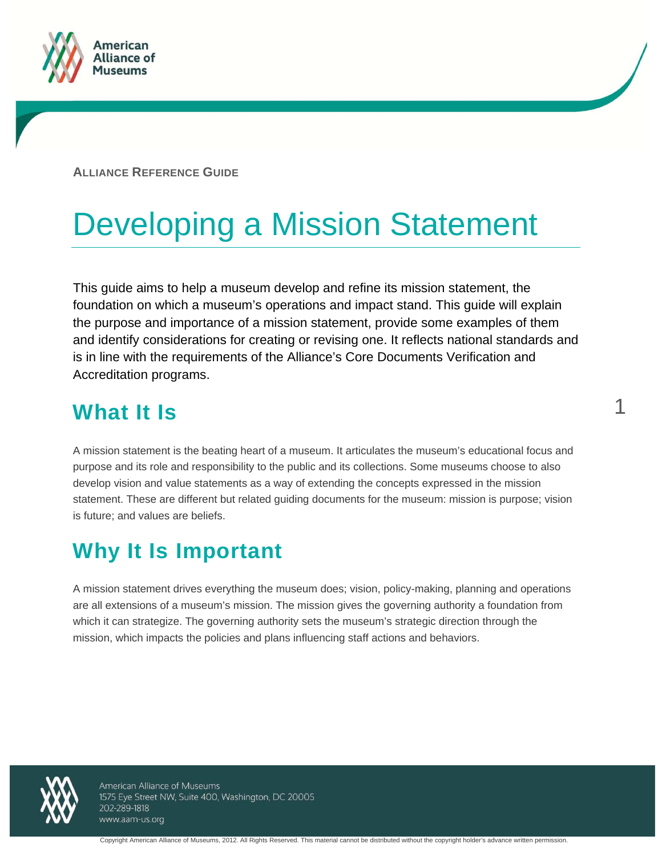

**ALLIANCE REFERENCE GUIDE**

# Developing a Mission Statement

This guide aims to help a museum develop and refine its mission statement, the foundation on which a museum's operations and impact stand. This guide will explain the purpose and importance of a mission statement, provide some examples of them and identify considerations for creating or revising one. It reflects national standards and is in line with the requirements of the Alliance's Core Documents Verification and Accreditation programs.

1

## **What It Is**

A mission statement is the beating heart of a museum. It articulates the museum's educational focus and purpose and its role and responsibility to the public and its collections. Some museums choose to also develop vision and value statements as a way of extending the concepts expressed in the mission statement. These are different but related guiding documents for the museum: mission is purpose; vision is future; and values are beliefs.

## **Why It Is Important**

A mission statement drives everything the museum does; vision, policy-making, planning and operations are all extensions of a museum's mission. The mission gives the governing authority a foundation from which it can strategize. The governing authority sets the museum's strategic direction through the mission, which impacts the policies and plans influencing staff actions and behaviors.



American Alliance of Museums 1575 Eye Street NW, Suite 400, Washington, DC 20005 202-289-1818 www.aam-us.org

Copyright American Alliance of Museums, 2012. All Rights Reserved. This material cannot be distributed without the copyright holder's advance written permission.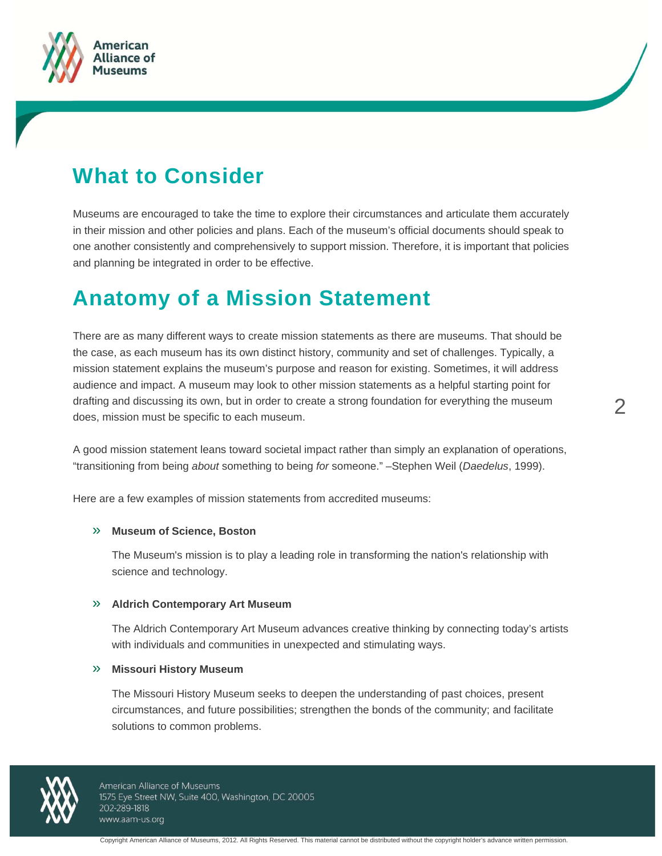



## **What to Consider**

Museums are encouraged to take the time to explore their circumstances and articulate them accurately in their mission and other policies and plans. Each of the museum's official documents should speak to one another consistently and comprehensively to support mission. Therefore, it is important that policies and planning be integrated in order to be effective.

### **Anatomy of a Mission Statement**

There are as many different ways to create mission statements as there are museums. That should be the case, as each museum has its own distinct history, community and set of challenges. Typically, a mission statement explains the museum's purpose and reason for existing. Sometimes, it will address audience and impact. A museum may look to other mission statements as a helpful starting point for drafting and discussing its own, but in order to create a strong foundation for everything the museum does, mission must be specific to each museum.

A good mission statement leans toward societal impact rather than simply an explanation of operations, "transitioning from being *about* something to being *for* someone." –Stephen Weil (*Daedelus*, 1999).

Here are a few examples of mission statements from accredited museums:

### » **Museum of Science, Boston**

The Museum's mission is to play a leading role in transforming the nation's relationship with science and technology.

### » **Aldrich Contemporary Art Museum**

The Aldrich Contemporary Art Museum advances creative thinking by connecting today's artists with individuals and communities in unexpected and stimulating ways.

### » **Missouri History Museum**

The Missouri History Museum seeks to deepen the understanding of past choices, present circumstances, and future possibilities; strengthen the bonds of the community; and facilitate solutions to common problems.



American Alliance of Museums 1575 Eye Street NW, Suite 400, Washington, DC 20005 202-289-1818 www.aam-us.org

 $\mathcal P$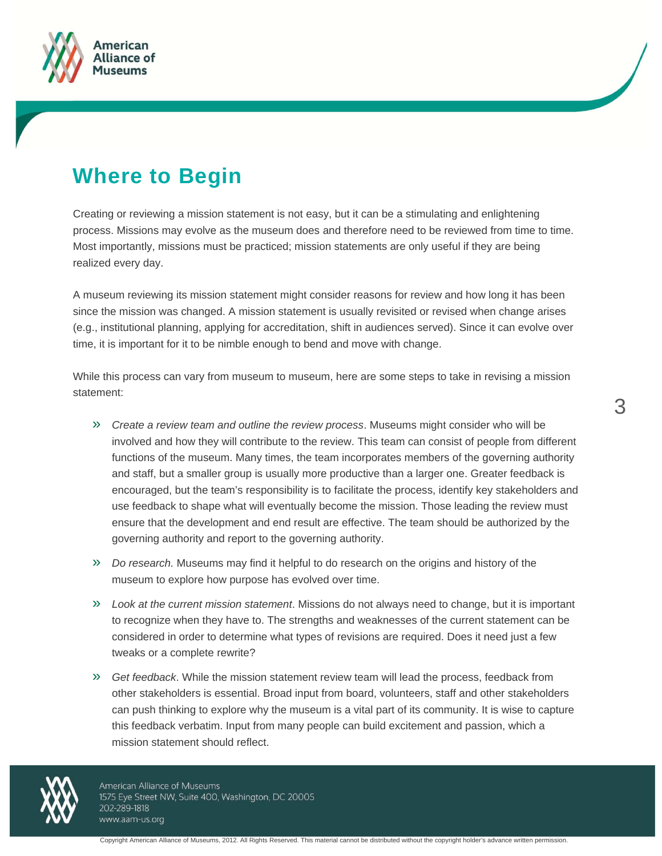

## **Where to Begin**

Creating or reviewing a mission statement is not easy, but it can be a stimulating and enlightening process. Missions may evolve as the museum does and therefore need to be reviewed from time to time. Most importantly, missions must be practiced; mission statements are only useful if they are being realized every day.

A museum reviewing its mission statement might consider reasons for review and how long it has been since the mission was changed. A mission statement is usually revisited or revised when change arises (e.g., institutional planning, applying for accreditation, shift in audiences served). Since it can evolve over time, it is important for it to be nimble enough to bend and move with change.

While this process can vary from museum to museum, here are some steps to take in revising a mission statement:

- » *Create a review team and outline the review process*. Museums might consider who will be involved and how they will contribute to the review. This team can consist of people from different functions of the museum. Many times, the team incorporates members of the governing authority and staff, but a smaller group is usually more productive than a larger one. Greater feedback is encouraged, but the team's responsibility is to facilitate the process, identify key stakeholders and use feedback to shape what will eventually become the mission. Those leading the review must ensure that the development and end result are effective. The team should be authorized by the governing authority and report to the governing authority.
- » *Do research.* Museums may find it helpful to do research on the origins and history of the museum to explore how purpose has evolved over time.
- » *Look at the current mission statement*. Missions do not always need to change, but it is important to recognize when they have to. The strengths and weaknesses of the current statement can be considered in order to determine what types of revisions are required. Does it need just a few tweaks or a complete rewrite?
- » *Get feedback*. While the mission statement review team will lead the process, feedback from other stakeholders is essential. Broad input from board, volunteers, staff and other stakeholders can push thinking to explore why the museum is a vital part of its community. It is wise to capture this feedback verbatim. Input from many people can build excitement and passion, which a mission statement should reflect.



American Alliance of Museums 1575 Eye Street NW, Suite 400, Washington, DC 20005 202-289-1818 www.aam-us.org

Copyright American Alliance of Museums, 2012. All Rights Reserved. This material cannot be distributed without the copyright holder's advance written permission.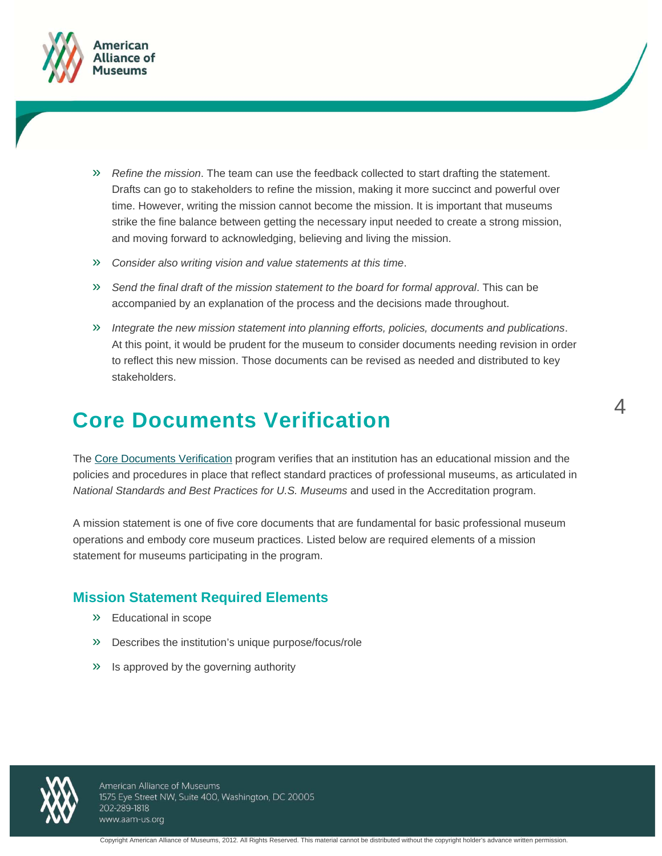

- » *Refine the mission*. The team can use the feedback collected to start drafting the statement. Drafts can go to stakeholders to refine the mission, making it more succinct and powerful over time. However, writing the mission cannot become the mission. It is important that museums strike the fine balance between getting the necessary input needed to create a strong mission, and moving forward to acknowledging, believing and living the mission.
- » *Consider also writing vision and value statements at this time*.
- » *Send the final draft of the mission statement to the board for formal approval*. This can be accompanied by an explanation of the process and the decisions made throughout.
- » *Integrate the new mission statement into planning efforts, policies, documents and publications*. At this point, it would be prudent for the museum to consider documents needing revision in order to reflect this new mission. Those documents can be revised as needed and distributed to key stakeholders.

### **Core Documents Verification**

The Core Documents Verification program verifies that an institution has an educational mission and the policies and procedures in place that reflect standard practices of professional museums, as articulated in *National Standards and Best Practices for U.S. Museums* and used in the Accreditation program.

A mission statement is one of five core documents that are fundamental for basic professional museum operations and embody core museum practices. Listed below are required elements of a mission statement for museums participating in the program.

### **Mission Statement Required Elements**

- » Educational in scope
- » Describes the institution's unique purpose/focus/role
- » Is approved by the governing authority



American Alliance of Museums 1575 Eye Street NW, Suite 400, Washington, DC 20005 202-289-1818 www.aam-us.org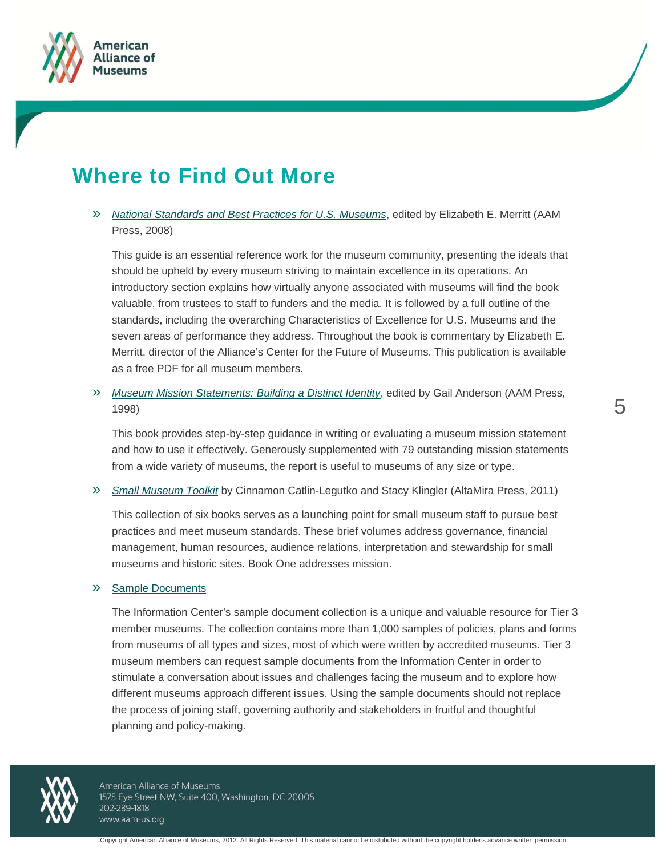



## **Where to Find Out More**

» *National Standards and Best Practices for U.S. Museums*, edited by Elizabeth E. Merritt (AAM Press, 2008)

This guide is an essential reference work for the museum community, presenting the ideals that should be upheld by every museum striving to maintain excellence in its operations. An introductory section explains how virtually anyone associated with museums will find the book valuable, from trustees to staff to funders and the media. It is followed by a full outline of the standards, including the overarching Characteristics of Excellence for U.S. Museums and the seven areas of performance they address. Throughout the book is commentary by Elizabeth E. Merritt, director of the Alliance's Center for the Future of Museums. This publication is available as a free PDF for all museum members.

» *Museum Mission Statements: Building a Distinct Identity*, edited by Gail Anderson (AAM Press, 1998)

This book provides step-by-step guidance in writing or evaluating a museum mission statement and how to use it effectively. Generously supplemented with 79 outstanding mission statements from a wide variety of museums, the report is useful to museums of any size or type.

» *Small Museum Toolkit* by Cinnamon Catlin-Legutko and Stacy Klingler (AltaMira Press, 2011)

This collection of six books serves as a launching point for small museum staff to pursue best practices and meet museum standards. These brief volumes address governance, financial management, human resources, audience relations, interpretation and stewardship for small museums and historic sites. Book One addresses mission.

### » Sample Documents

The Information Center's sample document collection is a unique and valuable resource for Tier 3 member museums. The collection contains more than 1,000 samples of policies, plans and forms from museums of all types and sizes, most of which were written by accredited museums. Tier 3 museum members can request sample documents from the Information Center in order to stimulate a conversation about issues and challenges facing the museum and to explore how different museums approach different issues. Using the sample documents should not replace the process of joining staff, governing authority and stakeholders in fruitful and thoughtful planning and policy-making.



American Alliance of Museums 1575 Eye Street NW, Suite 400, Washington, DC 20005 202-289-1818 www.aam-us.org